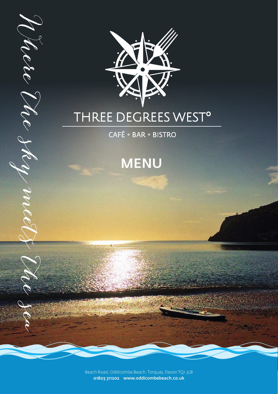

# THREE DEGREES WEST<sup>o</sup>

CAFÉ · BAR · BISTRO

Mete Me sky med

# MENU

Beach Road, Oddicombe Beach, Torquay, Devon TQ1 3LB 01803 311202 www.oddicombebeach.co.uk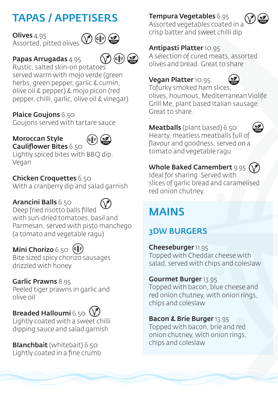## TAPAS / APPETISERS

**Olives** 4.95 Assorted, pitted olives



 $\left(\sum_{n=0}^{\infty}$ 

#### Papas Arrugadas 4.95

Rustic, salted skin-on potatoes served warm with mojo verde (green herbs, green pepper, garlic & cumin, olive oil & pepper) & mojo picon (red pepper, chilli, garlic, olive oil & vinegar)

#### Plaice Goujons 6.50

Goujons served with tartare sauce

#### Moroccan Style Cauliflower Bites 6.50



Lightly spiced bites with BBQ dip. Vegan

#### Chicken Croquettes 6.50

With a cranberry dip and salad garnish

#### Arancini Balls 6.50



Deep fried risotto balls filled with sun-dried tomatoes, basil and Parmesan, served with pisto manchego (a tomato and vegetable ragu)

#### Mini Chorizo 6.50 ( $6\overline{ }$ )

Bite sized spicy chorizo sausages drizzled with honey

#### Garlic Prawns 8.95

Peeled tiger prawns in garlic and olive oil

## Breaded Halloumi 6.50  $(\sqrt{\theta})$

Lightly coated with a sweet chilli dipping sauce and salad garnish

Blanchbait (whitebait) 6.50 Lightly coated in a fine crumb

#### Tempura Vegetables 6.95



 $\bigotimes$ 

Assorted vegetables coated in a crisp batter and sweet chilli dip

#### Antipasti Platter 10.95

A selection of cured meats, assorted olives and bread. Great to share

#### Vegan Platter 10.95



Tofurky smoked ham slices, olives, houmous, Mediterranean Violife Grill Me, plant based Italian sausage. Great to share.

#### Meatballs (plant based) 6.50

Hearty, meatless meatballs full of flavour and goodness, served on a tomato and vegetable ragu

#### Whole Baked Camembert 9.95 (V

Ideal for sharing. Served with slices of garlic bread and caramelised red onion chutney.

## MAINS

## 3DW BURGERS

Cheeseburger 11.95 Topped with Cheddar cheese with salad, served with chips and coleslaw

#### Gourmet Burger 13.95

Topped with bacon, blue cheese and red onion chutney, with onion rings, chips and coleslaw

#### Bacon & Brie Burger 13.95

Topped with bacon, brie and red onion chutney, with onion rings, chips and coleslaw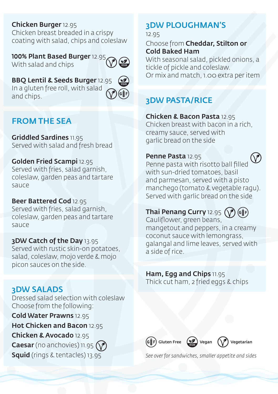#### Chicken Burger 12.95

Chicken breast breaded in a crispy coating with salad, chips and coleslaw

100% Plant Based Burger 12.95, With salad and chips

## BBQ Lentil & Seeds Burger 12.95

In a gluten free roll, with salad and chips.



### FROM THE SEA

Griddled Sardines 11.95 Served with salad and fresh bread

#### Golden Fried Scampi 12.95

Served with fries, salad garnish, coleslaw, garden peas and tartare sauce

#### Beer Battered Cod 12.95

Served with fries, salad garnish, coleslaw, garden peas and tartare sauce

#### 3DW Catch of the Day 13.95

Served with rustic skin-on potatoes, salad, coleslaw, mojo verde & mojo picon sauces on the side.

#### 3DW SALADS

Dressed salad selection with coleslaw Choose from the following:

Cold Water Prawns 12.95 Hot Chicken and Bacon 12.95

#### Chicken & Avocado 12.95

**Caesar** (no anchovies) 11.95  $(\gamma)$ Squid (rings & tentacles) 13.95

## 3DW PLOUGHMAN'S

#### 12.95

Choose from Cheddar, Stilton or Cold Baked Ham

With seasonal salad, pickled onions, a tickle of pickle and coleslaw. Or mix and match, 1.00 extra per item

### 3DW PASTA/RICE

Chicken & Bacon Pasta 12.95 Chicken breast with bacon in a rich, creamy sauce, served with garlic bread on the side

#### Penne Pasta 12.95



Penne pasta with risotto ball filled with sun-dried tomatoes, basil and parmesan, served with a pisto manchego (tomato & vegetable ragu). Served with garlic bread on the side

## Thai Penang Curry 12.95 (

Cauliflower, green beans, mangetout and peppers, in a creamy coconut sauce with lemongrass, galangal and lime leaves, served with a side of rice.

#### Ham, Egg and Chips 11.95 Thick cut ham, 2 fried eggs & chips



*See over for sandwiches, smaller appetite and sides*